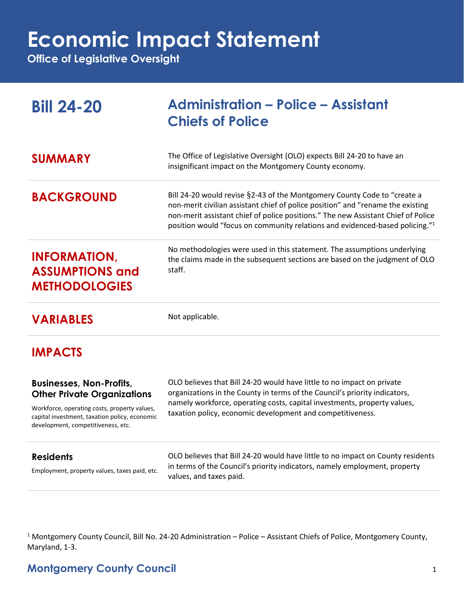**Economic Impact Statement**

**Office of Legislative Oversight**

| <b>Bill 24-20</b>                                                                                                                                                                                            | <b>Administration - Police - Assistant</b><br><b>Chiefs of Police</b>                                                                                                                                                                                                                                                                        |
|--------------------------------------------------------------------------------------------------------------------------------------------------------------------------------------------------------------|----------------------------------------------------------------------------------------------------------------------------------------------------------------------------------------------------------------------------------------------------------------------------------------------------------------------------------------------|
| <b>SUMMARY</b>                                                                                                                                                                                               | The Office of Legislative Oversight (OLO) expects Bill 24-20 to have an<br>insignificant impact on the Montgomery County economy.                                                                                                                                                                                                            |
| <b>BACKGROUND</b>                                                                                                                                                                                            | Bill 24-20 would revise §2-43 of the Montgomery County Code to "create a<br>non-merit civilian assistant chief of police position" and "rename the existing<br>non-merit assistant chief of police positions." The new Assistant Chief of Police<br>position would "focus on community relations and evidenced-based policing." <sup>1</sup> |
| <b>INFORMATION,</b><br><b>ASSUMPTIONS and</b><br><b>METHODOLOGIES</b>                                                                                                                                        | No methodologies were used in this statement. The assumptions underlying<br>the claims made in the subsequent sections are based on the judgment of OLO<br>staff.                                                                                                                                                                            |
| <b>VARIABLES</b>                                                                                                                                                                                             | Not applicable.                                                                                                                                                                                                                                                                                                                              |
| <b>IMPACTS</b>                                                                                                                                                                                               |                                                                                                                                                                                                                                                                                                                                              |
| <b>Businesses, Non-Profits,</b><br><b>Other Private Organizations</b><br>Workforce, operating costs, property values,<br>capital investment, taxation policy, economic<br>development, competitiveness, etc. | OLO believes that Bill 24-20 would have little to no impact on private<br>organizations in the County in terms of the Council's priority indicators,<br>namely workforce, operating costs, capital investments, property values,<br>taxation policy, economic development and competitiveness.                                               |
| <b>Residents</b><br>Employment, property values, taxes paid, etc.                                                                                                                                            | OLO believes that Bill 24-20 would have little to no impact on County residents<br>in terms of the Council's priority indicators, namely employment, property<br>values, and taxes paid.                                                                                                                                                     |

<sup>1</sup> Montgomery County Council, Bill No. 24-20 Administration – Police – Assistant Chiefs of Police, Montgomery County, Maryland, 1-3.

## **Montgomery County Council** 1